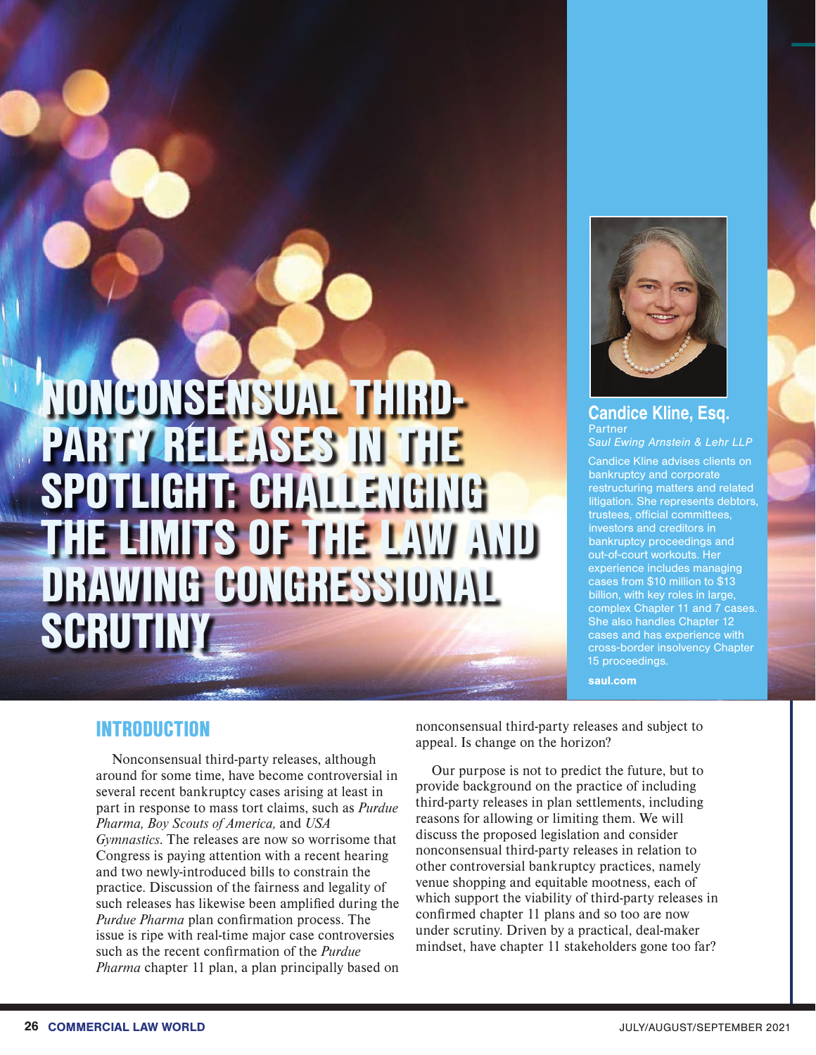# NONCONSENSUAL THIRD-PARTY RELEASES IN THE OTLIGHT: CHA OF THE LAW AND DRAWING CONGRESSIONAL SCRUTIN



#### Candice Kline, Esq. Partner *Saul Ewing Arnstein & Lehr LLP*

Candice Kline advises clients on bankruptcy and corporate restructuring matters and related litigation. She represents debtors, trustees, official committees, investors and creditors in bankruptcy proceedings and out-of-court workouts. Her experience includes managing cases from \$10 million to \$13 billion, with key roles in large, complex Chapter 11 and 7 cases. She also handles Chapter 12 cases and has experience with cross-border insolvency Chapter 15 proceedings.

saul.com

# INTRODUCTION

Nonconsensual third-party releases, although around for some time, have become controversial in several recent bankruptcy cases arising at least in part in response to mass tort claims, such as *Purdue Pharma, Boy Scouts of America,* and *USA Gymnastics*. The releases are now so worrisome that Congress is paying attention with a recent hearing and two newly-introduced bills to constrain the practice. Discussion of the fairness and legality of such releases has likewise been amplified during the *Purdue Pharma* plan confirmation process. The issue is ripe with real-time major case controversies such as the recent confirmation of the *Purdue Pharma* chapter 11 plan, a plan principally based on nonconsensual third-party releases and subject to appeal. Is change on the horizon?

Our purpose is not to predict the future, but to provide background on the practice of including third-party releases in plan settlements, including reasons for allowing or limiting them. We will discuss the proposed legislation and consider nonconsensual third-party releases in relation to other controversial bankruptcy practices, namely venue shopping and equitable mootness, each of which support the viability of third-party releases in confirmed chapter 11 plans and so too are now under scrutiny. Driven by a practical, deal-maker mindset, have chapter 11 stakeholders gone too far?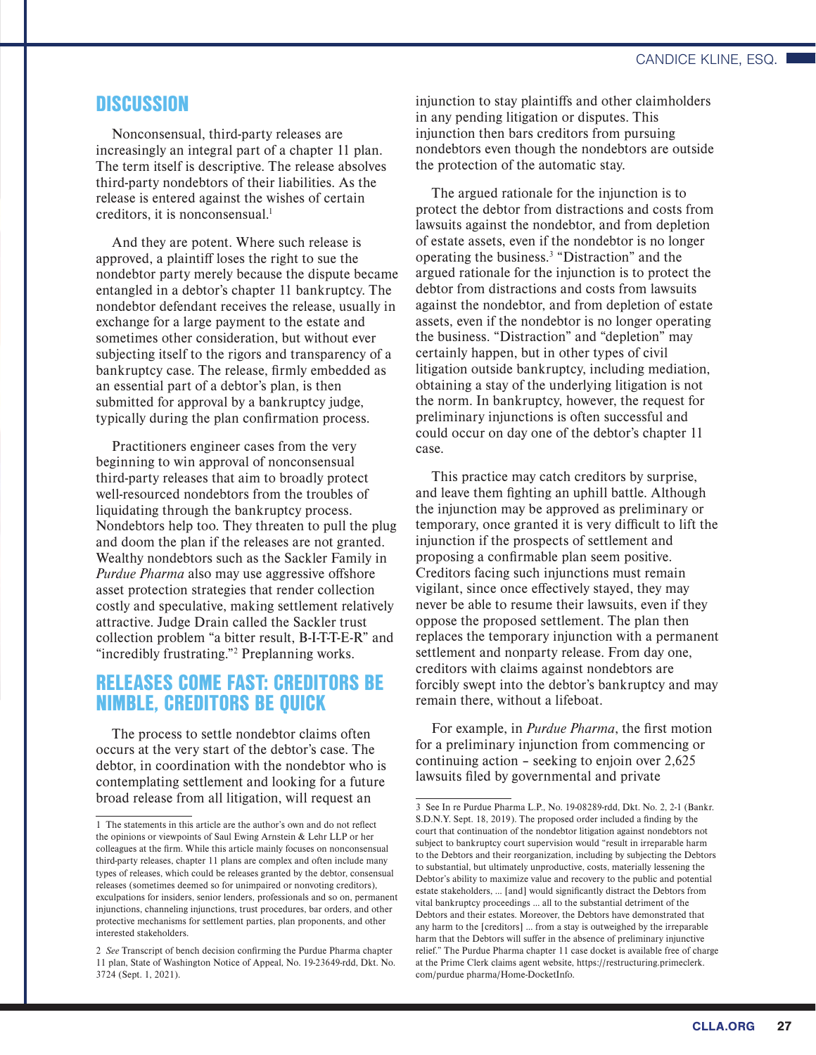## **DISCUSSION**

Nonconsensual, third-party releases are increasingly an integral part of a chapter 11 plan. The term itself is descriptive. The release absolves third-party nondebtors of their liabilities. As the release is entered against the wishes of certain creditors, it is nonconsensual. $<sup>1</sup>$ </sup>

And they are potent. Where such release is approved, a plaintiff loses the right to sue the nondebtor party merely because the dispute became entangled in a debtor's chapter 11 bankruptcy. The nondebtor defendant receives the release, usually in exchange for a large payment to the estate and sometimes other consideration, but without ever subjecting itself to the rigors and transparency of a bankruptcy case. The release, firmly embedded as an essential part of a debtor's plan, is then submitted for approval by a bankruptcy judge, typically during the plan confirmation process.

Practitioners engineer cases from the very beginning to win approval of nonconsensual third-party releases that aim to broadly protect well-resourced nondebtors from the troubles of liquidating through the bankruptcy process. Nondebtors help too. They threaten to pull the plug and doom the plan if the releases are not granted. Wealthy nondebtors such as the Sackler Family in *Purdue Pharma* also may use aggressive offshore asset protection strategies that render collection costly and speculative, making settlement relatively attractive. Judge Drain called the Sackler trust collection problem "a bitter result, B-I-T-T-E-R" and "incredibly frustrating."<sup>2</sup> Preplanning works.

# RELEASES COME FAST: CREDITORS BE NIMBLE, CREDITORS BE QUICK

The process to settle nondebtor claims often occurs at the very start of the debtor's case. The debtor, in coordination with the nondebtor who is contemplating settlement and looking for a future broad release from all litigation, will request an

injunction to stay plaintiffs and other claimholders in any pending litigation or disputes. This injunction then bars creditors from pursuing nondebtors even though the nondebtors are outside the protection of the automatic stay.

The argued rationale for the injunction is to protect the debtor from distractions and costs from lawsuits against the nondebtor, and from depletion of estate assets, even if the nondebtor is no longer operating the business.<sup>3</sup> "Distraction" and the argued rationale for the injunction is to protect the debtor from distractions and costs from lawsuits against the nondebtor, and from depletion of estate assets, even if the nondebtor is no longer operating the business. "Distraction" and "depletion" may certainly happen, but in other types of civil litigation outside bankruptcy, including mediation, obtaining a stay of the underlying litigation is not the norm. In bankruptcy, however, the request for preliminary injunctions is often successful and could occur on day one of the debtor's chapter 11 case.

This practice may catch creditors by surprise, and leave them fighting an uphill battle. Although the injunction may be approved as preliminary or temporary, once granted it is very difficult to lift the injunction if the prospects of settlement and proposing a confirmable plan seem positive. Creditors facing such injunctions must remain vigilant, since once effectively stayed, they may never be able to resume their lawsuits, even if they oppose the proposed settlement. The plan then replaces the temporary injunction with a permanent settlement and nonparty release. From day one, creditors with claims against nondebtors are forcibly swept into the debtor's bankruptcy and may remain there, without a lifeboat.

For example, in *Purdue Pharma*, the first motion for a preliminary injunction from commencing or continuing action – seeking to enjoin over 2,625 lawsuits filed by governmental and private

<sup>1</sup> The statements in this article are the author's own and do not reflect the opinions or viewpoints of Saul Ewing Arnstein & Lehr LLP or her colleagues at the firm. While this article mainly focuses on nonconsensual third-party releases, chapter 11 plans are complex and often include many types of releases, which could be releases granted by the debtor, consensual releases (sometimes deemed so for unimpaired or nonvoting creditors), exculpations for insiders, senior lenders, professionals and so on, permanent injunctions, channeling injunctions, trust procedures, bar orders, and other protective mechanisms for settlement parties, plan proponents, and other interested stakeholders.

<sup>2</sup> *See* Transcript of bench decision confirming the Purdue Pharma chapter 11 plan, State of Washington Notice of Appeal, No. 19-23649-rdd, Dkt. No. 3724 (Sept. 1, 2021).

<sup>3</sup> See In re Purdue Pharma L.P., No. 19-08289-rdd, Dkt. No. 2, 2-1 (Bankr. S.D.N.Y. Sept. 18, 2019). The proposed order included a finding by the court that continuation of the nondebtor litigation against nondebtors not subject to bankruptcy court supervision would "result in irreparable harm to the Debtors and their reorganization, including by subjecting the Debtors to substantial, but ultimately unproductive, costs, materially lessening the Debtor's ability to maximize value and recovery to the public and potential estate stakeholders, … [and] would significantly distract the Debtors from vital bankruptcy proceedings … all to the substantial detriment of the Debtors and their estates. Moreover, the Debtors have demonstrated that any harm to the [creditors] … from a stay is outweighed by the irreparable harm that the Debtors will suffer in the absence of preliminary injunctive relief." The Purdue Pharma chapter 11 case docket is available free of charge at the Prime Clerk claims agent website, https://restructuring.primeclerk. com/purdue pharma/Home-DocketInfo.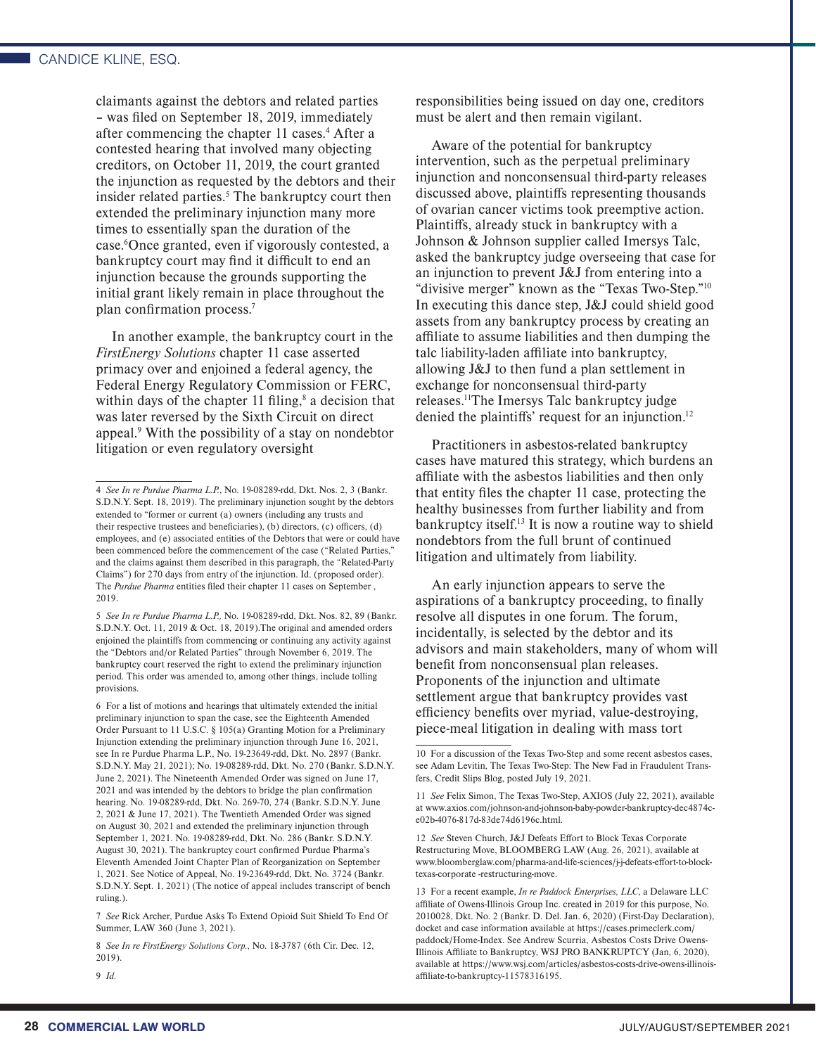claimants against the debtors and related parties – was filed on September 18, 2019, immediately after commencing the chapter 11 cases.<sup>4</sup> After a contested hearing that involved many objecting creditors, on October 11, 2019, the court granted the injunction as requested by the debtors and their insider related parties.<sup>5</sup> The bankruptcy court then extended the preliminary injunction many more times to essentially span the duration of the case.6 Once granted, even if vigorously contested, a bankruptcy court may find it difficult to end an injunction because the grounds supporting the initial grant likely remain in place throughout the plan confirmation process.7

In another example, the bankruptcy court in the *FirstEnergy Solutions* chapter 11 case asserted primacy over and enjoined a federal agency, the Federal Energy Regulatory Commission or FERC, within days of the chapter 11 filing, $\delta$  a decision that was later reversed by the Sixth Circuit on direct appeal.<sup>9</sup> With the possibility of a stay on nondebtor litigation or even regulatory oversight

7 *See* Rick Archer, Purdue Asks To Extend Opioid Suit Shield To End Of Summer, LAW 360 (June 3, 2021).

8 *See In re FirstEnergy Solutions Corp.*, No. 18-3787 (6th Cir. Dec. 12, 2019).

responsibilities being issued on day one, creditors must be alert and then remain vigilant.

Aware of the potential for bankruptcy intervention, such as the perpetual preliminary injunction and nonconsensual third-party releases discussed above, plaintiffs representing thousands of ovarian cancer victims took preemptive action. Plaintiffs, already stuck in bankruptcy with a Johnson & Johnson supplier called Imersys Talc, asked the bankruptcy judge overseeing that case for an injunction to prevent J&J from entering into a "divisive merger" known as the "Texas Two-Step."10 In executing this dance step, J&J could shield good assets from any bankruptcy process by creating an affiliate to assume liabilities and then dumping the talc liability-laden affiliate into bankruptcy, allowing J&J to then fund a plan settlement in exchange for nonconsensual third-party releases.11The Imersys Talc bankruptcy judge denied the plaintiffs' request for an injunction.<sup>12</sup>

Practitioners in asbestos-related bankruptcy cases have matured this strategy, which burdens an affiliate with the asbestos liabilities and then only that entity files the chapter 11 case, protecting the healthy businesses from further liability and from bankruptcy itself.13 It is now a routine way to shield nondebtors from the full brunt of continued litigation and ultimately from liability.

An early injunction appears to serve the aspirations of a bankruptcy proceeding, to finally resolve all disputes in one forum. The forum, incidentally, is selected by the debtor and its advisors and main stakeholders, many of whom will benefit from nonconsensual plan releases. Proponents of the injunction and ultimate settlement argue that bankruptcy provides vast efficiency benefits over myriad, value-destroying, piece-meal litigation in dealing with mass tort

12 *See* Steven Church, J&J Defeats Effort to Block Texas Corporate Restructuring Move, BLOOMBERG LAW (Aug. 26, 2021), available at www.bloomberglaw.com/pharma-and-life-sciences/j-j-defeats-effort-to-blocktexas-corporate -restructuring-move.

<sup>4</sup> *See In re Purdue Pharma L.P.*, No. 19-08289-rdd, Dkt. Nos. 2, 3 (Bankr. S.D.N.Y. Sept. 18, 2019). The preliminary injunction sought by the debtors extended to "former or current (a) owners (including any trusts and their respective trustees and beneficiaries), (b) directors, (c) officers, (d) employees, and (e) associated entities of the Debtors that were or could have been commenced before the commencement of the case ("Related Parties," and the claims against them described in this paragraph, the "Related-Party Claims") for 270 days from entry of the injunction. Id. (proposed order). The *Purdue Pharma* entities filed their chapter 11 cases on September , 2019.

<sup>5</sup> *See In re Purdue Pharma L.P.,* No. 19-08289-rdd, Dkt. Nos. 82, 89 (Bankr. S.D.N.Y. Oct. 11, 2019 & Oct. 18, 2019).The original and amended orders enjoined the plaintiffs from commencing or continuing any activity against the "Debtors and/or Related Parties" through November 6, 2019. The bankruptcy court reserved the right to extend the preliminary injunction period. This order was amended to, among other things, include tolling provisions.

<sup>6</sup> For a list of motions and hearings that ultimately extended the initial preliminary injunction to span the case, see the Eighteenth Amended Order Pursuant to 11 U.S.C. § 105(a) Granting Motion for a Preliminary Injunction extending the preliminary injunction through June 16, 2021, see In re Purdue Pharma L.P., No. 19-23649-rdd, Dkt. No. 2897 (Bankr. S.D.N.Y. May 21, 2021); No. 19-08289-rdd, Dkt. No. 270 (Bankr. S.D.N.Y. June 2, 2021). The Nineteenth Amended Order was signed on June 17, 2021 and was intended by the debtors to bridge the plan confirmation hearing. No. 19-08289-rdd, Dkt. No. 269-70, 274 (Bankr. S.D.N.Y. June 2, 2021 & June 17, 2021). The Twentieth Amended Order was signed on August 30, 2021 and extended the preliminary injunction through September 1, 2021. No. 19-08289-rdd, Dkt. No. 286 (Bankr. S.D.N.Y. August 30, 2021). The bankruptcy court confirmed Purdue Pharma's Eleventh Amended Joint Chapter Plan of Reorganization on September 1, 2021. See Notice of Appeal, No. 19-23649-rdd, Dkt. No. 3724 (Bankr. S.D.N.Y. Sept. 1, 2021) (The notice of appeal includes transcript of bench ruling.).

<sup>9</sup> *Id.*

<sup>10</sup> For a discussion of the Texas Two-Step and some recent asbestos cases, see Adam Levitin, The Texas Two-Step: The New Fad in Fraudulent Transfers, Credit Slips Blog, posted July 19, 2021.

<sup>11</sup> *See* Felix Simon, The Texas Two-Step, AXIOS (July 22, 2021), available at www.axios.com/johnson-and-johnson-baby-powder-bankruptcy-dec4874ce02b-4076-817d-83de74d6196c.html.

<sup>13</sup> For a recent example, *In re Paddock Enterprises, LLC*, a Delaware LLC affiliate of Owens-Illinois Group Inc. created in 2019 for this purpose, No. 2010028, Dkt. No. 2 (Bankr. D. Del. Jan. 6, 2020) (First-Day Declaration), docket and case information available at https://cases.primeclerk.com/ paddock/Home-Index. See Andrew Scurria, Asbestos Costs Drive Owens-Illinois Affiliate to Bankruptcy, WSJ PRO BANKRUPTCY (Jan, 6, 2020), available at https://www.wsj.com/articles/asbestos-costs-drive-owens-illinoisaffiliate-to-bankruptcy-11578316195.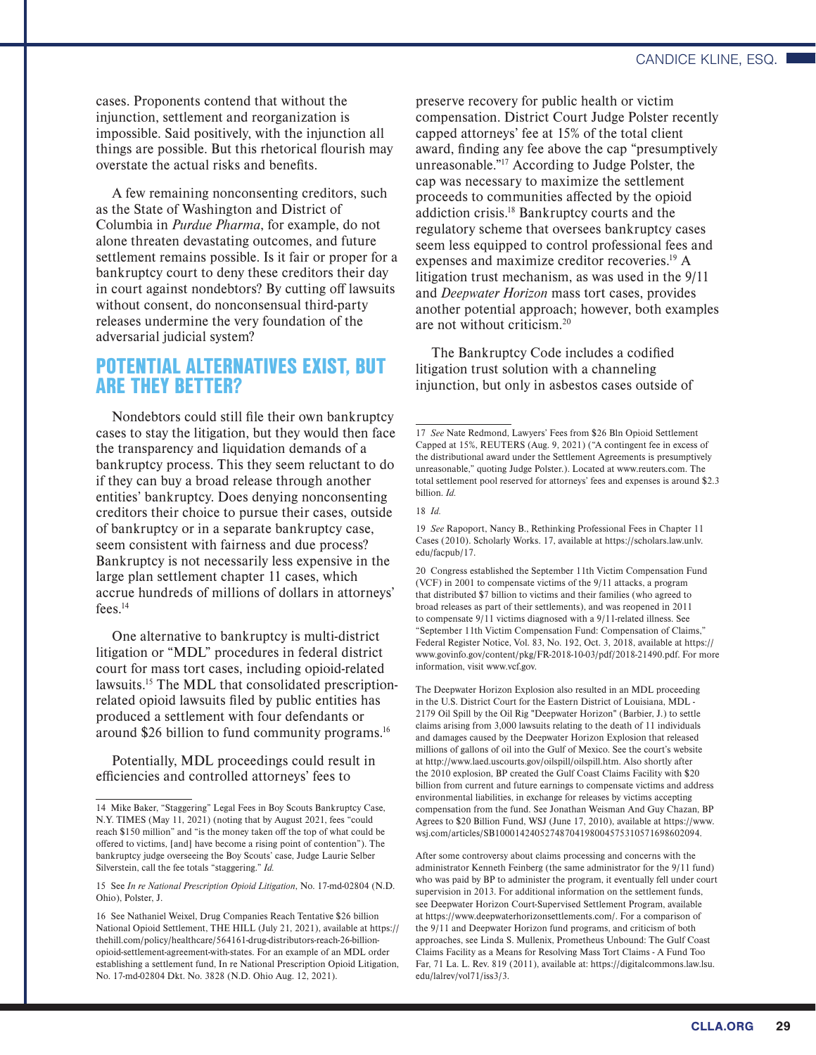cases. Proponents contend that without the injunction, settlement and reorganization is impossible. Said positively, with the injunction all things are possible. But this rhetorical flourish may overstate the actual risks and benefits.

A few remaining nonconsenting creditors, such as the State of Washington and District of Columbia in *Purdue Pharma*, for example, do not alone threaten devastating outcomes, and future settlement remains possible. Is it fair or proper for a bankruptcy court to deny these creditors their day in court against nondebtors? By cutting off lawsuits without consent, do nonconsensual third-party releases undermine the very foundation of the adversarial judicial system?

# POTENTIAL ALTERNATIVES EXIST, BUT ARE THEY BETTER?

Nondebtors could still file their own bankruptcy cases to stay the litigation, but they would then face the transparency and liquidation demands of a bankruptcy process. This they seem reluctant to do if they can buy a broad release through another entities' bankruptcy. Does denying nonconsenting creditors their choice to pursue their cases, outside of bankruptcy or in a separate bankruptcy case, seem consistent with fairness and due process? Bankruptcy is not necessarily less expensive in the large plan settlement chapter 11 cases, which accrue hundreds of millions of dollars in attorneys' fees.14

One alternative to bankruptcy is multi-district litigation or "MDL" procedures in federal district court for mass tort cases, including opioid-related lawsuits.15 The MDL that consolidated prescriptionrelated opioid lawsuits filed by public entities has produced a settlement with four defendants or around \$26 billion to fund community programs.16

Potentially, MDL proceedings could result in efficiencies and controlled attorneys' fees to

preserve recovery for public health or victim compensation. District Court Judge Polster recently capped attorneys' fee at 15% of the total client award, finding any fee above the cap "presumptively unreasonable."17 According to Judge Polster, the cap was necessary to maximize the settlement proceeds to communities affected by the opioid addiction crisis.18 Bankruptcy courts and the regulatory scheme that oversees bankruptcy cases seem less equipped to control professional fees and expenses and maximize creditor recoveries.19 A litigation trust mechanism, as was used in the 9/11 and *Deepwater Horizon* mass tort cases, provides another potential approach; however, both examples are not without criticism.20

The Bankruptcy Code includes a codified litigation trust solution with a channeling injunction, but only in asbestos cases outside of

18 *Id.*

The Deepwater Horizon Explosion also resulted in an MDL proceeding in the U.S. District Court for the Eastern District of Louisiana, MDL - 2179 Oil Spill by the Oil Rig "Deepwater Horizon" (Barbier, J.) to settle claims arising from 3,000 lawsuits relating to the death of 11 individuals and damages caused by the Deepwater Horizon Explosion that released millions of gallons of oil into the Gulf of Mexico. See the court's website at http://www.laed.uscourts.gov/oilspill/oilspill.htm. Also shortly after the 2010 explosion, BP created the Gulf Coast Claims Facility with \$20 billion from current and future earnings to compensate victims and address environmental liabilities, in exchange for releases by victims accepting compensation from the fund. See Jonathan Weisman And Guy Chazan, BP Agrees to \$20 Billion Fund, WSJ (June 17, 2010), available at https://www. wsj.com/articles/SB10001424052748704198004575310571698602094.

After some controversy about claims processing and concerns with the administrator Kenneth Feinberg (the same administrator for the 9/11 fund) who was paid by BP to administer the program, it eventually fell under court supervision in 2013. For additional information on the settlement funds, see Deepwater Horizon Court-Supervised Settlement Program, available at https://www.deepwaterhorizonsettlements.com/. For a comparison of the 9/11 and Deepwater Horizon fund programs, and criticism of both approaches, see Linda S. Mullenix, Prometheus Unbound: The Gulf Coast Claims Facility as a Means for Resolving Mass Tort Claims - A Fund Too Far, 71 La. L. Rev. 819 (2011), available at: https://digitalcommons.law.lsu. edu/lalrev/vol71/iss3/3.

<sup>14</sup> Mike Baker, "Staggering" Legal Fees in Boy Scouts Bankruptcy Case, N.Y. TIMES (May 11, 2021) (noting that by August 2021, fees "could reach \$150 million" and "is the money taken off the top of what could be offered to victims, [and] have become a rising point of contention"). The bankruptcy judge overseeing the Boy Scouts' case, Judge Laurie Selber Silverstein, call the fee totals "staggering." *Id.*

<sup>15</sup> See *In re National Prescription Opioid Litigation*, No. 17-md-02804 (N.D. Ohio), Polster, J.

<sup>16</sup> See Nathaniel Weixel, Drug Companies Reach Tentative \$26 billion National Opioid Settlement, THE HILL (July 21, 2021), available at https:// thehill.com/policy/healthcare/564161-drug-distributors-reach-26-billionopioid-settlement-agreement-with-states. For an example of an MDL order establishing a settlement fund, In re National Prescription Opioid Litigation, No. 17-md-02804 Dkt. No. 3828 (N.D. Ohio Aug. 12, 2021).

<sup>17</sup> *See* Nate Redmond, Lawyers' Fees from \$26 Bln Opioid Settlement Capped at 15%, REUTERS (Aug. 9, 2021) ("A contingent fee in excess of the distributional award under the Settlement Agreements is presumptively unreasonable," quoting Judge Polster.). Located at www.reuters.com. The total settlement pool reserved for attorneys' fees and expenses is around \$2.3 billion. *Id.*

<sup>19</sup> *See* Rapoport, Nancy B., Rethinking Professional Fees in Chapter 11 Cases (2010). Scholarly Works. 17, available at https://scholars.law.unlv. edu/facpub/17.

<sup>20</sup> Congress established the September 11th Victim Compensation Fund (VCF) in 2001 to compensate victims of the 9/11 attacks, a program that distributed \$7 billion to victims and their families (who agreed to broad releases as part of their settlements), and was reopened in 2011 to compensate 9/11 victims diagnosed with a 9/11-related illness. See "September 11th Victim Compensation Fund: Compensation of Claims," Federal Register Notice, Vol. 83, No. 192, Oct. 3, 2018, available at https:// www.govinfo.gov/content/pkg/FR-2018-10-03/pdf/2018-21490.pdf. For more information, visit www.vcf.gov.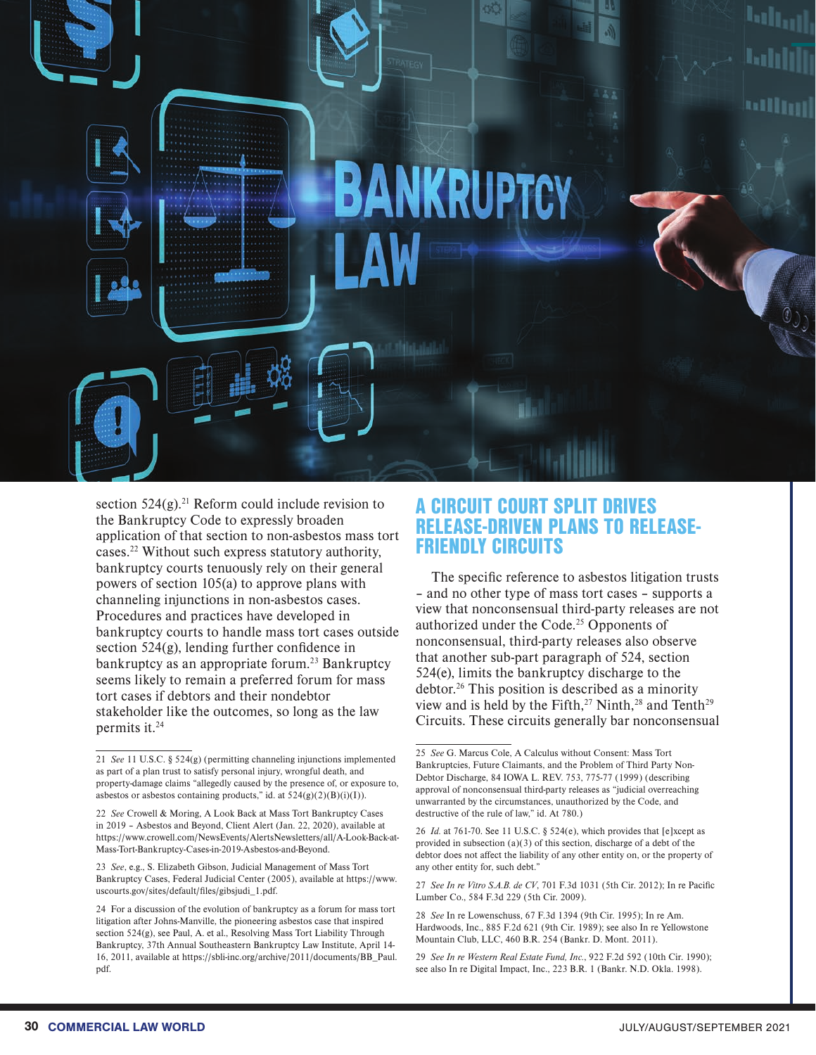

section  $524(g)$ .<sup>21</sup> Reform could include revision to the Bankruptcy Code to expressly broaden application of that section to non-asbestos mass tort cases.22 Without such express statutory authority, bankruptcy courts tenuously rely on their general powers of section 105(a) to approve plans with channeling injunctions in non-asbestos cases. Procedures and practices have developed in bankruptcy courts to handle mass tort cases outside section 524(g), lending further confidence in bankruptcy as an appropriate forum.<sup>23</sup> Bankruptcy seems likely to remain a preferred forum for mass tort cases if debtors and their nondebtor stakeholder like the outcomes, so long as the law permits it.24

22 *See* Crowell & Moring, A Look Back at Mass Tort Bankruptcy Cases in 2019 – Asbestos and Beyond, Client Alert (Jan. 22, 2020), available at https://www.crowell.com/NewsEvents/AlertsNewsletters/all/A-Look-Back-at-Mass-Tort-Bankruptcy-Cases-in-2019-Asbestos-and-Beyond.

23 *See*, e.g., S. Elizabeth Gibson, Judicial Management of Mass Tort Bankruptcy Cases, Federal Judicial Center (2005), available at https://www. uscourts.gov/sites/default/files/gibsjudi\_1.pdf.

# A CIRCUIT COURT SPLIT DRIVES RELEASE-DRIVEN PLANS TO RELEASE-FRIENDLY CIRCUITS

The specific reference to asbestos litigation trusts – and no other type of mass tort cases – supports a view that nonconsensual third-party releases are not authorized under the Code.25 Opponents of nonconsensual, third-party releases also observe that another sub-part paragraph of 524, section 524(e), limits the bankruptcy discharge to the debtor.<sup>26</sup> This position is described as a minority view and is held by the Fifth,<sup>27</sup> Ninth,<sup>28</sup> and Tenth<sup>29</sup> Circuits. These circuits generally bar nonconsensual

27 *See In re Vitro S.A.B. de CV*, 701 F.3d 1031 (5th Cir. 2012); In re Pacific Lumber Co., 584 F.3d 229 (5th Cir. 2009).

28 *See* In re Lowenschuss, 67 F.3d 1394 (9th Cir. 1995); In re Am. Hardwoods, Inc., 885 F.2d 621 (9th Cir. 1989); see also In re Yellowstone Mountain Club, LLC, 460 B.R. 254 (Bankr. D. Mont. 2011).

<sup>21</sup> *See* 11 U.S.C. § 524(g) (permitting channeling injunctions implemented as part of a plan trust to satisfy personal injury, wrongful death, and property-damage claims "allegedly caused by the presence of, or exposure to, asbestos or asbestos containing products," id. at  $524(g)(2)(B)(i)(I)$ ).

<sup>24</sup> For a discussion of the evolution of bankruptcy as a forum for mass tort litigation after Johns-Manville, the pioneering asbestos case that inspired section 524(g), see Paul, A. et al., Resolving Mass Tort Liability Through Bankruptcy, 37th Annual Southeastern Bankruptcy Law Institute, April 14- 16, 2011, available at https://sbli-inc.org/archive/2011/documents/BB\_Paul. pdf.

<sup>25</sup> *See* G. Marcus Cole, A Calculus without Consent: Mass Tort Bankruptcies, Future Claimants, and the Problem of Third Party Non-Debtor Discharge, 84 IOWA L. REV. 753, 775-77 (1999) (describing approval of nonconsensual third-party releases as "judicial overreaching unwarranted by the circumstances, unauthorized by the Code, and destructive of the rule of law," id. At 780.)

<sup>26</sup> *Id.* at 761-70. See 11 U.S.C. § 524(e), which provides that [e]xcept as provided in subsection  $(a)(3)$  of this section, discharge of a debt of the debtor does not affect the liability of any other entity on, or the property of any other entity for, such debt."

<sup>29</sup> *See In re Western Real Estate Fund, Inc.*, 922 F.2d 592 (10th Cir. 1990); see also In re Digital Impact, Inc., 223 B.R. 1 (Bankr. N.D. Okla. 1998).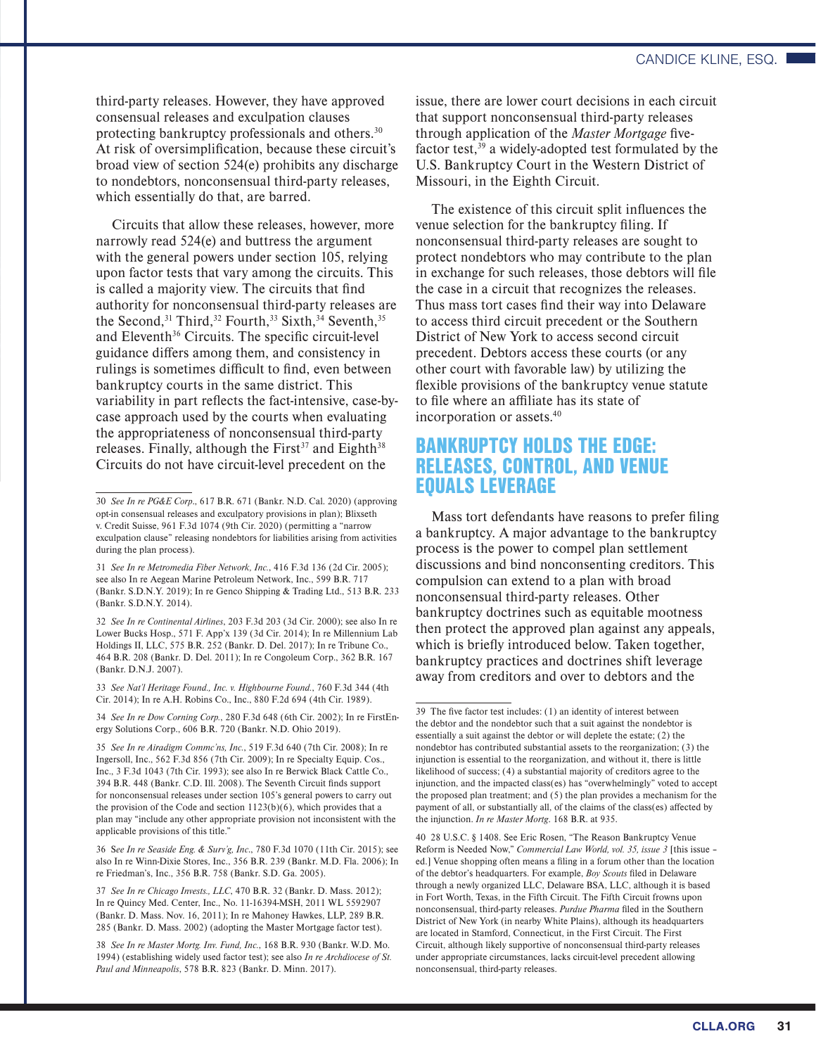third-party releases. However, they have approved consensual releases and exculpation clauses protecting bankruptcy professionals and others.30 At risk of oversimplification, because these circuit's broad view of section 524(e) prohibits any discharge to nondebtors, nonconsensual third-party releases, which essentially do that, are barred.

Circuits that allow these releases, however, more narrowly read 524(e) and buttress the argument with the general powers under section 105, relying upon factor tests that vary among the circuits. This is called a majority view. The circuits that find authority for nonconsensual third-party releases are the Second,<sup>31</sup> Third,<sup>32</sup> Fourth,<sup>33</sup> Sixth,<sup>34</sup> Seventh,<sup>35</sup> and Eleventh<sup>36</sup> Circuits. The specific circuit-level guidance differs among them, and consistency in rulings is sometimes difficult to find, even between bankruptcy courts in the same district. This variability in part reflects the fact-intensive, case-bycase approach used by the courts when evaluating the appropriateness of nonconsensual third-party releases. Finally, although the First<sup>37</sup> and Eighth<sup>38</sup> Circuits do not have circuit-level precedent on the

31 *See In re Metromedia Fiber Network, Inc.*, 416 F.3d 136 (2d Cir. 2005); see also In re Aegean Marine Petroleum Network, Inc., 599 B.R. 717 (Bankr. S.D.N.Y. 2019); In re Genco Shipping & Trading Ltd., 513 B.R. 233 (Bankr. S.D.N.Y. 2014).

32 *See In re Continental Airlines*, 203 F.3d 203 (3d Cir. 2000); see also In re Lower Bucks Hosp., 571 F. App'x 139 (3d Cir. 2014); In re Millennium Lab Holdings II, LLC, 575 B.R. 252 (Bankr. D. Del. 2017); In re Tribune Co., 464 B.R. 208 (Bankr. D. Del. 2011); In re Congoleum Corp., 362 B.R. 167 (Bankr. D.N.J. 2007).

33 *See Nat'l Heritage Found., Inc. v. Highbourne Found.*, 760 F.3d 344 (4th Cir. 2014); In re A.H. Robins Co., Inc., 880 F.2d 694 (4th Cir. 1989).

34 *See In re Dow Corning Corp.*, 280 F.3d 648 (6th Cir. 2002); In re FirstEnergy Solutions Corp., 606 B.R. 720 (Bankr. N.D. Ohio 2019).

35 *See In re Airadigm Commc'ns, Inc.*, 519 F.3d 640 (7th Cir. 2008); In re Ingersoll, Inc., 562 F.3d 856 (7th Cir. 2009); In re Specialty Equip. Cos., Inc., 3 F.3d 1043 (7th Cir. 1993); see also In re Berwick Black Cattle Co., 394 B.R. 448 (Bankr. C.D. Ill. 2008). The Seventh Circuit finds support for nonconsensual releases under section 105's general powers to carry out the provision of the Code and section  $1123(b)(6)$ , which provides that a plan may "include any other appropriate provision not inconsistent with the applicable provisions of this title."

36 S*ee In re Seaside Eng. & Surv'g, Inc*., 780 F.3d 1070 (11th Cir. 2015); see also In re Winn-Dixie Stores, Inc., 356 B.R. 239 (Bankr. M.D. Fla. 2006); In re Friedman's, Inc., 356 B.R. 758 (Bankr. S.D. Ga. 2005).

37 *See In re Chicago Invests., LLC*, 470 B.R. 32 (Bankr. D. Mass. 2012); In re Quincy Med. Center, Inc., No. 11-16394-MSH, 2011 WL 5592907 (Bankr. D. Mass. Nov. 16, 2011); In re Mahoney Hawkes, LLP, 289 B.R. 285 (Bankr. D. Mass. 2002) (adopting the Master Mortgage factor test).

38 *See In re Master Mortg. Inv. Fund, Inc.*, 168 B.R. 930 (Bankr. W.D. Mo. 1994) (establishing widely used factor test); see also *In re Archdiocese of St. Paul and Minneapolis*, 578 B.R. 823 (Bankr. D. Minn. 2017).

issue, there are lower court decisions in each circuit that support nonconsensual third-party releases through application of the *Master Mortgage* fivefactor test,  $39$  a widely-adopted test formulated by the U.S. Bankruptcy Court in the Western District of Missouri, in the Eighth Circuit.

The existence of this circuit split influences the venue selection for the bankruptcy filing. If nonconsensual third-party releases are sought to protect nondebtors who may contribute to the plan in exchange for such releases, those debtors will file the case in a circuit that recognizes the releases. Thus mass tort cases find their way into Delaware to access third circuit precedent or the Southern District of New York to access second circuit precedent. Debtors access these courts (or any other court with favorable law) by utilizing the flexible provisions of the bankruptcy venue statute to file where an affiliate has its state of incorporation or assets.40

## BANKRUPTCY HOLDS THE EDGE: RELEASES, CONTROL, AND VENUE EQUALS LEVERAGE

Mass tort defendants have reasons to prefer filing a bankruptcy. A major advantage to the bankruptcy process is the power to compel plan settlement discussions and bind nonconsenting creditors. This compulsion can extend to a plan with broad nonconsensual third-party releases. Other bankruptcy doctrines such as equitable mootness then protect the approved plan against any appeals, which is briefly introduced below. Taken together, bankruptcy practices and doctrines shift leverage away from creditors and over to debtors and the

<sup>30</sup> *See In re PG&E Corp*., 617 B.R. 671 (Bankr. N.D. Cal. 2020) (approving opt-in consensual releases and exculpatory provisions in plan); Blixseth v. Credit Suisse, 961 F.3d 1074 (9th Cir. 2020) (permitting a "narrow exculpation clause" releasing nondebtors for liabilities arising from activities during the plan process).

<sup>39</sup> The five factor test includes: (1) an identity of interest between the debtor and the nondebtor such that a suit against the nondebtor is essentially a suit against the debtor or will deplete the estate; (2) the nondebtor has contributed substantial assets to the reorganization; (3) the injunction is essential to the reorganization, and without it, there is little likelihood of success; (4) a substantial majority of creditors agree to the injunction, and the impacted class(es) has "overwhelmingly" voted to accept the proposed plan treatment; and (5) the plan provides a mechanism for the payment of all, or substantially all, of the claims of the class(es) affected by the injunction. *In re Master Mortg*. 168 B.R. at 935.

<sup>40 28</sup> U.S.C. § 1408. See Eric Rosen, "The Reason Bankruptcy Venue Reform is Needed Now," *Commercial Law World, vol. 35, issue 3* [this issue – ed.] Venue shopping often means a filing in a forum other than the location of the debtor's headquarters. For example, *Boy Scouts* filed in Delaware through a newly organized LLC, Delaware BSA, LLC, although it is based in Fort Worth, Texas, in the Fifth Circuit. The Fifth Circuit frowns upon nonconsensual, third-party releases. *Purdue Pharma* filed in the Southern District of New York (in nearby White Plains), although its headquarters are located in Stamford, Connecticut, in the First Circuit. The First Circuit, although likely supportive of nonconsensual third-party releases under appropriate circumstances, lacks circuit-level precedent allowing nonconsensual, third-party releases.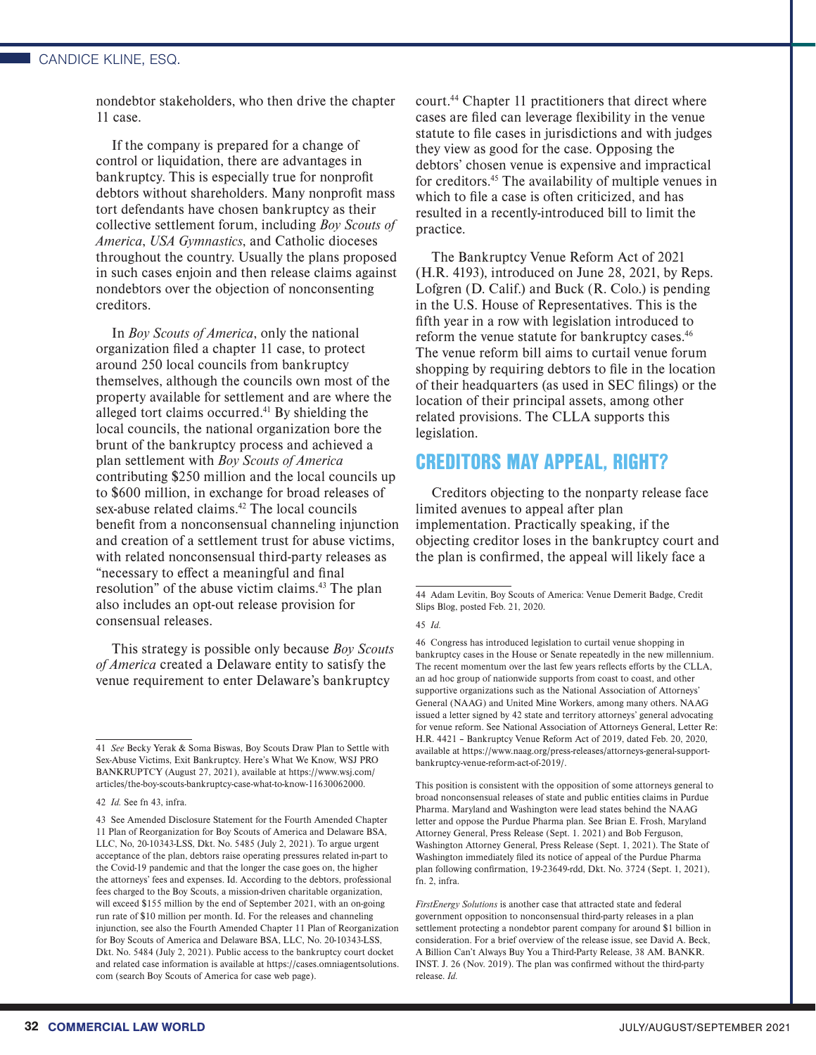#### CANDICE KLINE, ESQ.

nondebtor stakeholders, who then drive the chapter 11 case.

If the company is prepared for a change of control or liquidation, there are advantages in bankruptcy. This is especially true for nonprofit debtors without shareholders. Many nonprofit mass tort defendants have chosen bankruptcy as their collective settlement forum, including *Boy Scouts of America*, *USA Gymnastics*, and Catholic dioceses throughout the country. Usually the plans proposed in such cases enjoin and then release claims against nondebtors over the objection of nonconsenting creditors.

In *Boy Scouts of America*, only the national organization filed a chapter 11 case, to protect around 250 local councils from bankruptcy themselves, although the councils own most of the property available for settlement and are where the alleged tort claims occurred.41 By shielding the local councils, the national organization bore the brunt of the bankruptcy process and achieved a plan settlement with *Boy Scouts of America* contributing \$250 million and the local councils up to \$600 million, in exchange for broad releases of sex-abuse related claims.<sup>42</sup> The local councils benefit from a nonconsensual channeling injunction and creation of a settlement trust for abuse victims, with related nonconsensual third-party releases as "necessary to effect a meaningful and final resolution" of the abuse victim claims.43 The plan also includes an opt-out release provision for consensual releases.

This strategy is possible only because *Boy Scouts of America* created a Delaware entity to satisfy the venue requirement to enter Delaware's bankruptcy

court.44 Chapter 11 practitioners that direct where cases are filed can leverage flexibility in the venue statute to file cases in jurisdictions and with judges they view as good for the case. Opposing the debtors' chosen venue is expensive and impractical for creditors.45 The availability of multiple venues in which to file a case is often criticized, and has resulted in a recently-introduced bill to limit the practice.

The Bankruptcy Venue Reform Act of 2021 (H.R. 4193), introduced on June 28, 2021, by Reps. Lofgren (D. Calif.) and Buck (R. Colo.) is pending in the U.S. House of Representatives. This is the fifth year in a row with legislation introduced to reform the venue statute for bankruptcy cases.<sup>46</sup> The venue reform bill aims to curtail venue forum shopping by requiring debtors to file in the location of their headquarters (as used in SEC filings) or the location of their principal assets, among other related provisions. The CLLA supports this legislation.

## CREDITORS MAY APPEAL, RIGHT?

Creditors objecting to the nonparty release face limited avenues to appeal after plan implementation. Practically speaking, if the objecting creditor loses in the bankruptcy court and the plan is confirmed, the appeal will likely face a

46 Congress has introduced legislation to curtail venue shopping in bankruptcy cases in the House or Senate repeatedly in the new millennium. The recent momentum over the last few years reflects efforts by the CLLA, an ad hoc group of nationwide supports from coast to coast, and other supportive organizations such as the National Association of Attorneys' General (NAAG) and United Mine Workers, among many others. NAAG issued a letter signed by 42 state and territory attorneys' general advocating for venue reform. See National Association of Attorneys General, Letter Re: H.R. 4421 – Bankruptcy Venue Reform Act of 2019, dated Feb. 20, 2020, available at https://www.naag.org/press-releases/attorneys-general-supportbankruptcy-venue-reform-act-of-2019/.

This position is consistent with the opposition of some attorneys general to broad nonconsensual releases of state and public entities claims in Purdue Pharma. Maryland and Washington were lead states behind the NAAG letter and oppose the Purdue Pharma plan. See Brian E. Frosh, Maryland Attorney General, Press Release (Sept. 1. 2021) and Bob Ferguson, Washington Attorney General, Press Release (Sept. 1, 2021). The State of Washington immediately filed its notice of appeal of the Purdue Pharma plan following confirmation, 19-23649-rdd, Dkt. No. 3724 (Sept. 1, 2021), fn. 2, infra.

<sup>41</sup> *See* Becky Yerak & Soma Biswas, Boy Scouts Draw Plan to Settle with Sex-Abuse Victims, Exit Bankruptcy. Here's What We Know, WSJ PRO BANKRUPTCY (August 27, 2021), available at https://www.wsj.com/ articles/the-boy-scouts-bankruptcy-case-what-to-know-11630062000.

<sup>42</sup> *Id.* See fn 43, infra.

<sup>43</sup> See Amended Disclosure Statement for the Fourth Amended Chapter 11 Plan of Reorganization for Boy Scouts of America and Delaware BSA, LLC, No, 20-10343-LSS, Dkt. No. 5485 (July 2, 2021). To argue urgent acceptance of the plan, debtors raise operating pressures related in-part to the Covid-19 pandemic and that the longer the case goes on, the higher the attorneys' fees and expenses. Id. According to the debtors, professional fees charged to the Boy Scouts, a mission-driven charitable organization, will exceed \$155 million by the end of September 2021, with an on-going run rate of \$10 million per month. Id. For the releases and channeling injunction, see also the Fourth Amended Chapter 11 Plan of Reorganization for Boy Scouts of America and Delaware BSA, LLC, No. 20-10343-LSS, Dkt. No. 5484 (July 2, 2021). Public access to the bankruptcy court docket and related case information is available at https://cases.omniagentsolutions. com (search Boy Scouts of America for case web page).

<sup>44</sup> Adam Levitin, Boy Scouts of America: Venue Demerit Badge, Credit Slips Blog, posted Feb. 21, 2020.

<sup>45</sup> *Id.*

*FirstEnergy Solutions* is another case that attracted state and federal government opposition to nonconsensual third-party releases in a plan settlement protecting a nondebtor parent company for around \$1 billion in consideration. For a brief overview of the release issue, see David A. Beck, A Billion Can't Always Buy You a Third-Party Release, 38 AM. BANKR. INST. J. 26 (Nov. 2019). The plan was confirmed without the third-party release. *Id.*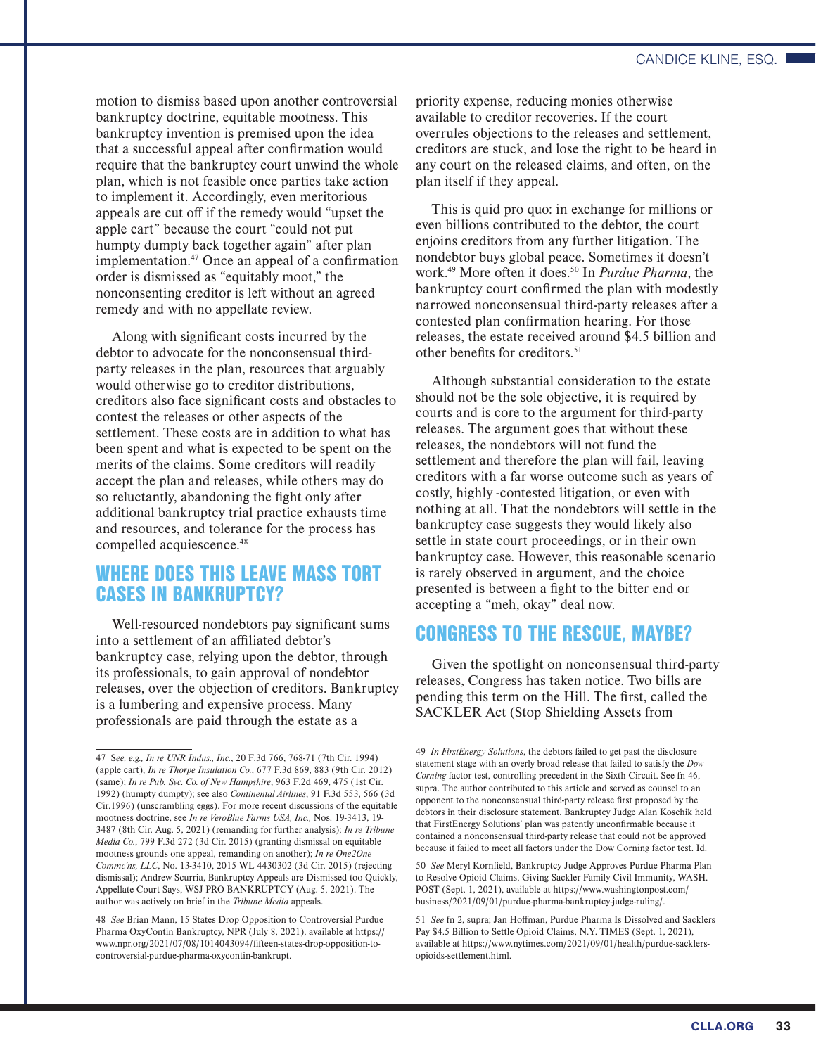motion to dismiss based upon another controversial bankruptcy doctrine, equitable mootness. This bankruptcy invention is premised upon the idea that a successful appeal after confirmation would require that the bankruptcy court unwind the whole plan, which is not feasible once parties take action to implement it. Accordingly, even meritorious appeals are cut off if the remedy would "upset the apple cart" because the court "could not put humpty dumpty back together again" after plan implementation. $47$  Once an appeal of a confirmation order is dismissed as "equitably moot," the nonconsenting creditor is left without an agreed remedy and with no appellate review.

Along with significant costs incurred by the debtor to advocate for the nonconsensual thirdparty releases in the plan, resources that arguably would otherwise go to creditor distributions, creditors also face significant costs and obstacles to contest the releases or other aspects of the settlement. These costs are in addition to what has been spent and what is expected to be spent on the merits of the claims. Some creditors will readily accept the plan and releases, while others may do so reluctantly, abandoning the fight only after additional bankruptcy trial practice exhausts time and resources, and tolerance for the process has compelled acquiescence.<sup>48</sup>

# WHERE DOES THIS LEAVE MASS TORT CASES IN BANKRUPTCY?

Well-resourced nondebtors pay significant sums into a settlement of an affiliated debtor's bankruptcy case, relying upon the debtor, through its professionals, to gain approval of nondebtor releases, over the objection of creditors. Bankruptcy is a lumbering and expensive process. Many professionals are paid through the estate as a

priority expense, reducing monies otherwise available to creditor recoveries. If the court overrules objections to the releases and settlement, creditors are stuck, and lose the right to be heard in any court on the released claims, and often, on the plan itself if they appeal.

This is quid pro quo: in exchange for millions or even billions contributed to the debtor, the court enjoins creditors from any further litigation. The nondebtor buys global peace. Sometimes it doesn't work.49 More often it does.50 In *Purdue Pharma*, the bankruptcy court confirmed the plan with modestly narrowed nonconsensual third-party releases after a contested plan confirmation hearing. For those releases, the estate received around \$4.5 billion and other benefits for creditors.<sup>51</sup>

Although substantial consideration to the estate should not be the sole objective, it is required by courts and is core to the argument for third-party releases. The argument goes that without these releases, the nondebtors will not fund the settlement and therefore the plan will fail, leaving creditors with a far worse outcome such as years of costly, highly -contested litigation, or even with nothing at all. That the nondebtors will settle in the bankruptcy case suggests they would likely also settle in state court proceedings, or in their own bankruptcy case. However, this reasonable scenario is rarely observed in argument, and the choice presented is between a fight to the bitter end or accepting a "meh, okay" deal now.

# CONGRESS TO THE RESCUE, MAYBE?

Given the spotlight on nonconsensual third-party releases, Congress has taken notice. Two bills are pending this term on the Hill. The first, called the SACKLER Act (Stop Shielding Assets from

<sup>47</sup> S*ee, e.g., In re UNR Indus., Inc.*, 20 F.3d 766, 768-71 (7th Cir. 1994) (apple cart), *In re Thorpe Insulation Co.*, 677 F.3d 869, 883 (9th Cir. 2012) (same); *In re Pub. Svc. Co. of New Hampshire*, 963 F.2d 469, 475 (1st Cir. 1992) (humpty dumpty); see also *Continental Airlines*, 91 F.3d 553, 566 (3d Cir.1996) (unscrambling eggs). For more recent discussions of the equitable mootness doctrine, see *In re VeroBlue Farms USA, Inc.,* Nos. 19-3413, 19- 3487 (8th Cir. Aug. 5, 2021) (remanding for further analysis); *In re Tribune Media Co.*, 799 F.3d 272 (3d Cir. 2015) (granting dismissal on equitable mootness grounds one appeal, remanding on another); *In re One2One Commc'ns, LLC*, No. 13-3410, 2015 WL 4430302 (3d Cir. 2015) (rejecting dismissal); Andrew Scurria, Bankruptcy Appeals are Dismissed too Quickly, Appellate Court Says, WSJ PRO BANKRUPTCY (Aug. 5, 2021). The author was actively on brief in the *Tribune Media* appeals.

<sup>48</sup> *See* Brian Mann, 15 States Drop Opposition to Controversial Purdue Pharma OxyContin Bankruptcy, NPR (July 8, 2021), available at https:// www.npr.org/2021/07/08/1014043094/fifteen-states-drop-opposition-tocontroversial-purdue-pharma-oxycontin-bankrupt.

<sup>49</sup> *In FirstEnergy Solutions*, the debtors failed to get past the disclosure statement stage with an overly broad release that failed to satisfy the *Dow Corning* factor test, controlling precedent in the Sixth Circuit. See fn 46, supra. The author contributed to this article and served as counsel to an opponent to the nonconsensual third-party release first proposed by the debtors in their disclosure statement. Bankruptcy Judge Alan Koschik held that FirstEnergy Solutions' plan was patently unconfirmable because it contained a nonconsensual third-party release that could not be approved because it failed to meet all factors under the Dow Corning factor test. Id.

<sup>50</sup> *See* Meryl Kornfield, Bankruptcy Judge Approves Purdue Pharma Plan to Resolve Opioid Claims, Giving Sackler Family Civil Immunity, WASH. POST (Sept. 1, 2021), available at https://www.washingtonpost.com/ business/2021/09/01/purdue-pharma-bankruptcy-judge-ruling/.

<sup>51</sup> *See* fn 2, supra; Jan Hoffman, Purdue Pharma Is Dissolved and Sacklers Pay \$4.5 Billion to Settle Opioid Claims, N.Y. TIMES (Sept. 1, 2021), available at https://www.nytimes.com/2021/09/01/health/purdue-sacklersopioids-settlement.html.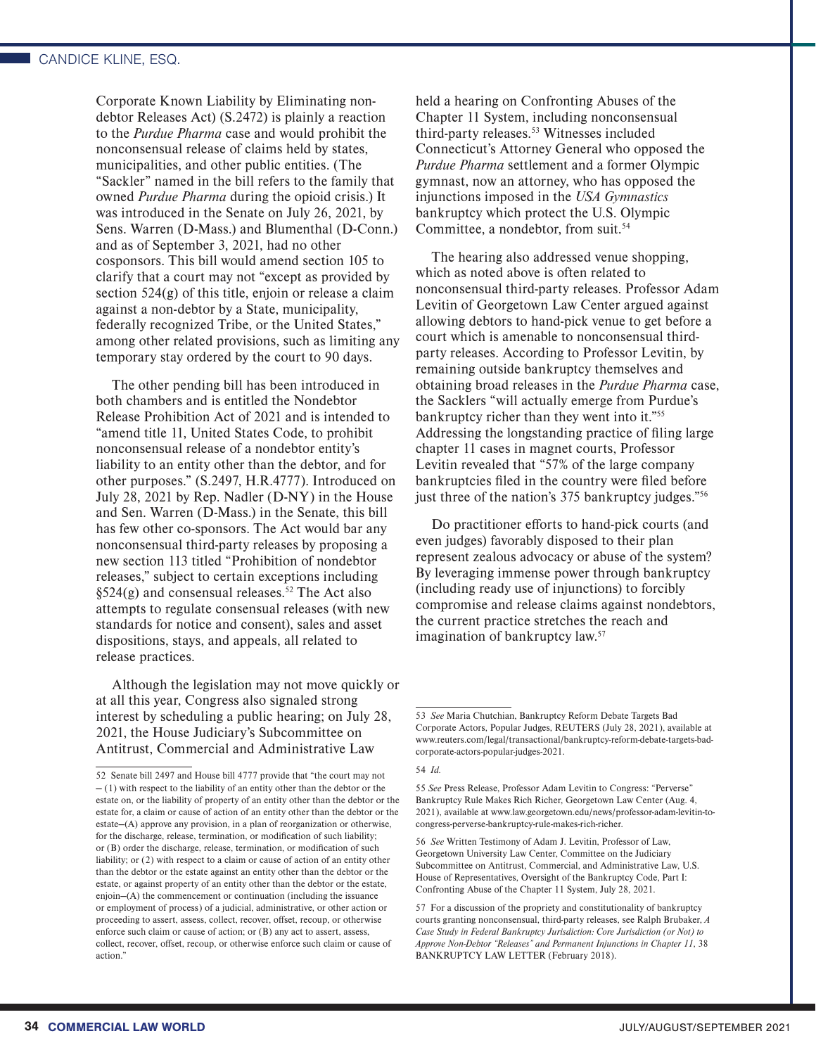Corporate Known Liability by Eliminating nondebtor Releases Act) (S.2472) is plainly a reaction to the *Purdue Pharma* case and would prohibit the nonconsensual release of claims held by states, municipalities, and other public entities. (The "Sackler" named in the bill refers to the family that owned *Purdue Pharma* during the opioid crisis.) It was introduced in the Senate on July 26, 2021, by Sens. Warren (D-Mass.) and Blumenthal (D-Conn.) and as of September 3, 2021, had no other cosponsors. This bill would amend section 105 to clarify that a court may not "except as provided by section 524(g) of this title, enjoin or release a claim against a non-debtor by a State, municipality, federally recognized Tribe, or the United States," among other related provisions, such as limiting any temporary stay ordered by the court to 90 days.

The other pending bill has been introduced in both chambers and is entitled the Nondebtor Release Prohibition Act of 2021 and is intended to "amend title 11, United States Code, to prohibit nonconsensual release of a nondebtor entity's liability to an entity other than the debtor, and for other purposes." (S.2497, H.R.4777). Introduced on July 28, 2021 by Rep. Nadler (D-NY) in the House and Sen. Warren (D-Mass.) in the Senate, this bill has few other co-sponsors. The Act would bar any nonconsensual third-party releases by proposing a new section 113 titled "Prohibition of nondebtor releases," subject to certain exceptions including  $§524(g)$  and consensual releases.<sup>52</sup> The Act also attempts to regulate consensual releases (with new standards for notice and consent), sales and asset dispositions, stays, and appeals, all related to release practices.

Although the legislation may not move quickly or at all this year, Congress also signaled strong interest by scheduling a public hearing; on July 28, 2021, the House Judiciary's Subcommittee on Antitrust, Commercial and Administrative Law

held a hearing on Confronting Abuses of the Chapter 11 System, including nonconsensual third-party releases.<sup>53</sup> Witnesses included Connecticut's Attorney General who opposed the *Purdue Pharma* settlement and a former Olympic gymnast, now an attorney, who has opposed the injunctions imposed in the *USA Gymnastics* bankruptcy which protect the U.S. Olympic Committee, a nondebtor, from suit.<sup>54</sup>

The hearing also addressed venue shopping, which as noted above is often related to nonconsensual third-party releases. Professor Adam Levitin of Georgetown Law Center argued against allowing debtors to hand-pick venue to get before a court which is amenable to nonconsensual thirdparty releases. According to Professor Levitin, by remaining outside bankruptcy themselves and obtaining broad releases in the *Purdue Pharma* case, the Sacklers "will actually emerge from Purdue's bankruptcy richer than they went into it."55 Addressing the longstanding practice of filing large chapter 11 cases in magnet courts, Professor Levitin revealed that "57% of the large company bankruptcies filed in the country were filed before just three of the nation's 375 bankruptcy judges."56

Do practitioner efforts to hand-pick courts (and even judges) favorably disposed to their plan represent zealous advocacy or abuse of the system? By leveraging immense power through bankruptcy (including ready use of injunctions) to forcibly compromise and release claims against nondebtors, the current practice stretches the reach and imagination of bankruptcy law.57

<sup>52</sup> Senate bill 2497 and House bill 4777 provide that "the court may not  $-$  (1) with respect to the liability of an entity other than the debtor or the estate on, or the liability of property of an entity other than the debtor or the estate for, a claim or cause of action of an entity other than the debtor or the estate—(A) approve any provision, in a plan of reorganization or otherwise, for the discharge, release, termination, or modification of such liability; or (B) order the discharge, release, termination, or modification of such liability; or (2) with respect to a claim or cause of action of an entity other than the debtor or the estate against an entity other than the debtor or the estate, or against property of an entity other than the debtor or the estate, enjoin—(A) the commencement or continuation (including the issuance or employment of process) of a judicial, administrative, or other action or proceeding to assert, assess, collect, recover, offset, recoup, or otherwise enforce such claim or cause of action; or (B) any act to assert, assess, collect, recover, offset, recoup, or otherwise enforce such claim or cause of action."

<sup>53</sup> *See* Maria Chutchian, Bankruptcy Reform Debate Targets Bad Corporate Actors, Popular Judges, REUTERS (July 28, 2021), available at www.reuters.com/legal/transactional/bankruptcy-reform-debate-targets-badcorporate-actors-popular-judges-2021.

<sup>54</sup> *Id.*

<sup>55</sup> *See* Press Release, Professor Adam Levitin to Congress: "Perverse" Bankruptcy Rule Makes Rich Richer, Georgetown Law Center (Aug. 4, 2021), available at www.law.georgetown.edu/news/professor-adam-levitin-tocongress-perverse-bankruptcy-rule-makes-rich-richer.

<sup>56</sup> *See* Written Testimony of Adam J. Levitin, Professor of Law, Georgetown University Law Center, Committee on the Judiciary Subcommittee on Antitrust, Commercial, and Administrative Law, U.S. House of Representatives, Oversight of the Bankruptcy Code, Part I: Confronting Abuse of the Chapter 11 System, July 28, 2021.

<sup>57</sup> For a discussion of the propriety and constitutionality of bankruptcy courts granting nonconsensual, third-party releases, see Ralph Brubaker, *A Case Study in Federal Bankruptcy Jurisdiction: Core Jurisdiction (or Not) to Approve Non-Debtor "Releases" and Permanent Injunctions in Chapter 11*, 38 BANKRUPTCY LAW LETTER (February 2018).